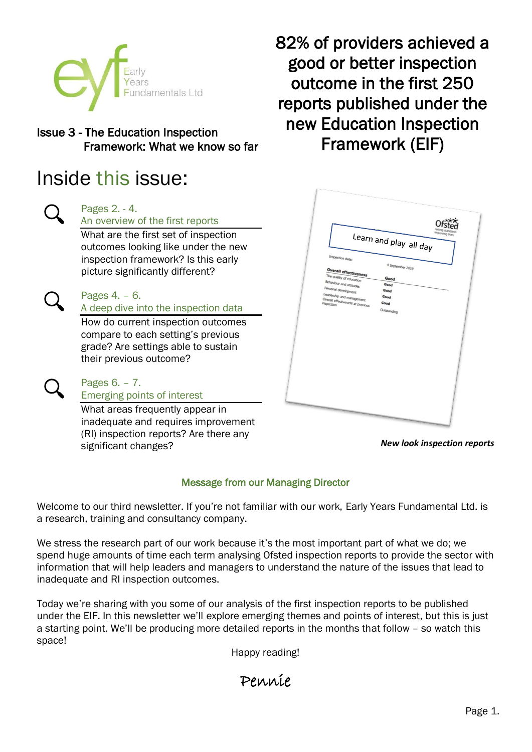

# Issue 3 - The Education Inspection Framework: What we know so far

# Inside this issue:



# Pages 2. - 4.

An overview of the first reports

What are the first set of inspection outcomes looking like under the new inspection framework? Is this early picture significantly different?

# Pages 4. – 6.

A deep dive into the inspection data

How do current inspection outcomes compare to each setting's previous grade? Are settings able to sustain their previous outcome?

#### Pages 6. – 7. Emerging points of interest

What areas frequently appear in inadequate and requires improvement (RI) inspection reports? Are there any significant changes?

82% of providers achieved a good or better inspection outcome in the first 250 reports published under the new Education Inspection Framework (EIF)



*New look inspection reports*

# Message from our Managing Director

Welcome to our third newsletter. If you're not familiar with our work, Early Years Fundamental Ltd. is a research, training and consultancy company.

We stress the research part of our work because it's the most important part of what we do; we spend huge amounts of time each term analysing Ofsted inspection reports to provide the sector with information that will help leaders and managers to understand the nature of the issues that lead to inadequate and RI inspection outcomes.

Today we're sharing with you some of our analysis of the first inspection reports to be published under the EIF. In this newsletter we'll explore emerging themes and points of interest, but this is just a starting point. We'll be producing more detailed reports in the months that follow – so watch this space!

Happy reading!

Pennie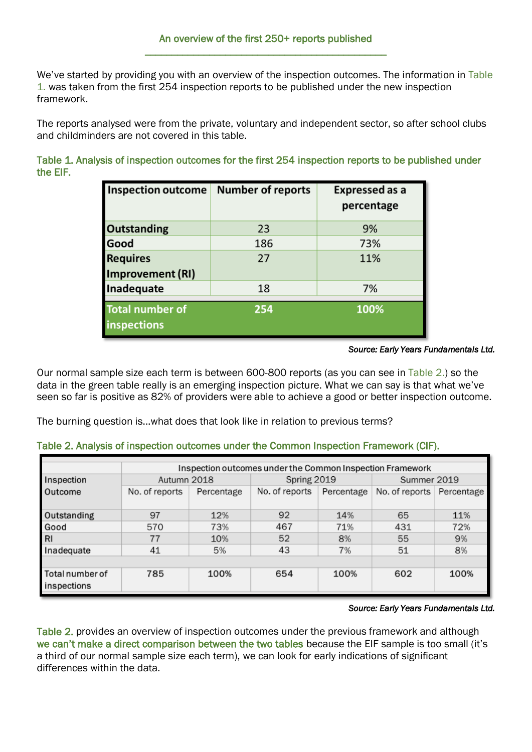We've started by providing you with an overview of the inspection outcomes. The information in Table 1. was taken from the first 254 inspection reports to be published under the new inspection framework.

The reports analysed were from the private, voluntary and independent sector, so after school clubs and childminders are not covered in this table.

Table 1. Analysis of inspection outcomes for the first 254 inspection reports to be published under the EIF.

| <b>Inspection outcome</b>                    | <b>Number of reports</b> | <b>Expressed as a</b><br>percentage |
|----------------------------------------------|--------------------------|-------------------------------------|
| <b>Outstanding</b>                           | 23                       | 9%                                  |
| Good                                         | 186                      | 73%                                 |
| <b>Requires</b>                              | 27                       | 11%                                 |
| Improvement (RI)                             |                          |                                     |
| Inadequate                                   | 18                       | 7%                                  |
| <b>Total number of</b><br><b>inspections</b> | 254                      | 100%                                |

#### *Source: Early Years Fundamentals Ltd.*

Our normal sample size each term is between 600-800 reports (as you can see in Table 2.) so the data in the green table really is an emerging inspection picture. What we can say is that what we've seen so far is positive as 82% of providers were able to achieve a good or better inspection outcome.

The burning question is…what does that look like in relation to previous terms?

|  | Table 2. Analysis of inspection outcomes under the Common Inspection Framework (CIF). |  |
|--|---------------------------------------------------------------------------------------|--|
|--|---------------------------------------------------------------------------------------|--|

|                                | Inspection outcomes under the Common Inspection Framework |            |                |            |                |            |  |  |  |
|--------------------------------|-----------------------------------------------------------|------------|----------------|------------|----------------|------------|--|--|--|
| Inspection                     | Autumn 2018                                               |            | Spring 2019    |            | Summer 2019    |            |  |  |  |
| Outcome                        | No. of reports                                            | Percentage | No. of reports | Percentage | No. of reports | Percentage |  |  |  |
| Outstanding                    | 97                                                        | 12%        | 92             | 14%        | 65             | 11%        |  |  |  |
| Good                           | 570                                                       | 73%        | 467            | 71%        | 431            | 72%        |  |  |  |
| RI                             | 77                                                        | 10%        | 52             | 8%         | 55             | 9%         |  |  |  |
| Inadequate                     | 41                                                        | 5%         | 43             | 7%         | 51             | 8%         |  |  |  |
|                                |                                                           |            |                |            |                |            |  |  |  |
| Total number of<br>inspections | 785                                                       | 100%       | 654            | 100%       | 602            | 100%       |  |  |  |

#### *Source: Early Years Fundamentals Ltd.*

Table 2. provides an overview of inspection outcomes under the previous framework and although we can't make a direct comparison between the two tables because the EIF sample is too small (it's a third of our normal sample size each term), we can look for early indications of significant differences within the data.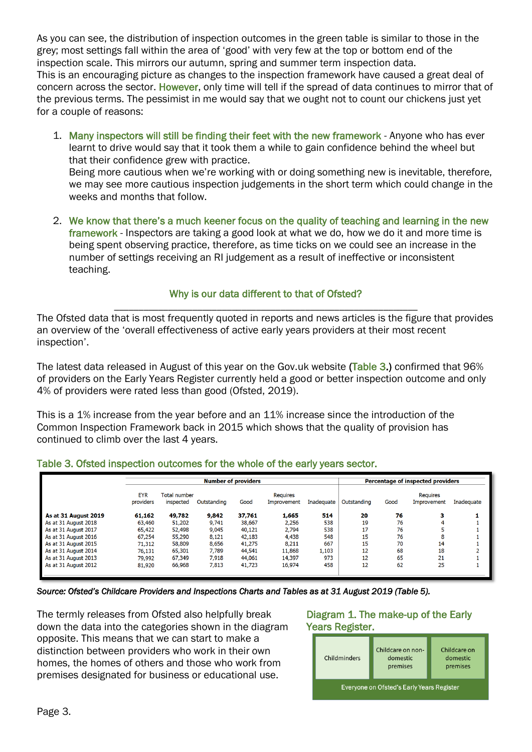As you can see, the distribution of inspection outcomes in the green table is similar to those in the grey; most settings fall within the area of 'good' with very few at the top or bottom end of the inspection scale. This mirrors our autumn, spring and summer term inspection data. This is an encouraging picture as changes to the inspection framework have caused a great deal of concern across the sector. However, only time will tell if the spread of data continues to mirror that of the previous terms. The pessimist in me would say that we ought not to count our chickens just yet for a couple of reasons:

1. Many inspectors will still be finding their feet with the new framework - Anyone who has ever learnt to drive would say that it took them a while to gain confidence behind the wheel but that their confidence grew with practice.

Being more cautious when we're working with or doing something new is inevitable, therefore, we may see more cautious inspection judgements in the short term which could change in the weeks and months that follow.

2. We know that there's a much keener focus on the quality of teaching and learning in the new framework - Inspectors are taking a good look at what we do, how we do it and more time is being spent observing practice, therefore, as time ticks on we could see an increase in the number of settings receiving an RI judgement as a result of ineffective or inconsistent teaching.

# Why is our data different to that of Ofsted?

\_\_\_\_\_\_\_\_\_\_\_\_\_\_\_\_\_\_\_\_\_\_\_\_\_\_\_\_\_\_\_\_\_\_\_\_\_\_\_\_\_\_\_\_\_\_\_\_\_\_\_\_\_\_\_\_\_\_\_\_\_\_ The Ofsted data that is most frequently quoted in reports and news articles is the figure that provides an overview of the 'overall effectiveness of active early years providers at their most recent inspection'.

The latest data released in August of this year on the Gov.uk website (Table 3.) confirmed that 96% of providers on the Early Years Register currently held a good or better inspection outcome and only 4% of providers were rated less than good (Ofsted, 2019).

This is a 1% increase from the year before and an 11% increase since the introduction of the Common Inspection Framework back in 2015 which shows that the quality of provision has continued to climb over the last 4 years.

# Table 3. Ofsted inspection outcomes for the whole of the early years sector.

|                      | <b>Number of providers</b> |                           |             |        |                                |            | Percentage of inspected providers |      |                                |            |
|----------------------|----------------------------|---------------------------|-------------|--------|--------------------------------|------------|-----------------------------------|------|--------------------------------|------------|
|                      | <b>EYR</b><br>providers    | Total number<br>inspected | Outstanding | Good   | <b>Requires</b><br>Improvement | Inadeguate | Outstanding                       | Good | <b>Requires</b><br>Improvement | Inadequate |
| As at 31 August 2019 | 61,162                     | 49,782                    | 9,842       | 37,761 | 1,665                          | 514        | 20                                | 76   | з                              |            |
| As at 31 August 2018 | 63,460                     | 51,202                    | 9,741       | 38,667 | 2,256                          | 538        | 19                                | 76   |                                |            |
| As at 31 August 2017 | 65,422                     | 52,498                    | 9,045       | 40,121 | 2,794                          | 538        | 17                                | 76   |                                |            |
| As at 31 August 2016 | 67,254                     | 55,290                    | 8,121       | 42,183 | 4,438                          | 548        | 15                                | 76   | 8                              |            |
| As at 31 August 2015 | 71,312                     | 58,809                    | 8,656       | 41,275 | 8,211                          | 667        | 15                                | 70   | 14                             |            |
| As at 31 August 2014 | 76.131                     | 65,301                    | 7,789       | 44.541 | 11,868                         | 1,103      | 12                                | 68   | 18                             |            |
| As at 31 August 2013 | 79.992                     | 67,349                    | 7,918       | 44.061 | 14,397                         | 973        | 12                                | 65   | 21                             |            |
| As at 31 August 2012 | 81,920                     | 66,968                    | 7,813       | 41,723 | 16,974                         | 458        | 12                                | 62   | 25                             |            |

*Source: Ofsted's Childcare Providers and Inspections Charts and Tables as at 31 August 2019 (Table 5).* 

The termly releases from Ofsted also helpfully break down the data into the categories shown in the diagram opposite. This means that we can start to make a distinction between providers who work in their own homes, the homes of others and those who work from premises designated for business or educational use.

# Diagram 1. The make-up of the Early Years Register.

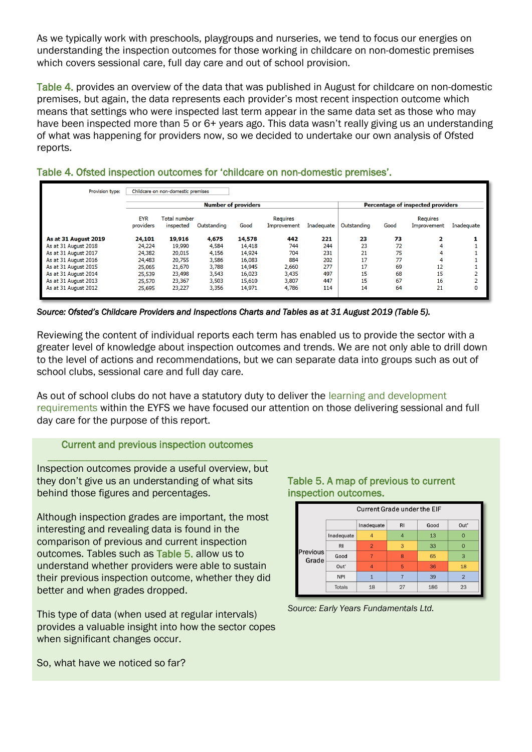As we typically work with preschools, playgroups and nurseries, we tend to focus our energies on understanding the inspection outcomes for those working in childcare on non-domestic premises which covers sessional care, full day care and out of school provision.

Table 4. provides an overview of the data that was published in August for childcare on non-domestic premises, but again, the data represents each provider's most recent inspection outcome which means that settings who were inspected last term appear in the same data set as those who may have been inspected more than 5 or 6+ years ago. This data wasn't really giving us an understanding of what was happening for providers now, so we decided to undertake our own analysis of Ofsted reports.

| Provision type:      |            | Childcare on non-domestic premises |             |        |                 |            |             |      |                                   |            |
|----------------------|------------|------------------------------------|-------------|--------|-----------------|------------|-------------|------|-----------------------------------|------------|
|                      |            | <b>Number of providers</b>         |             |        |                 |            |             |      | Percentage of inspected providers |            |
|                      | <b>EYR</b> | <b>Total number</b>                |             |        | <b>Requires</b> |            |             |      | <b>Requires</b>                   |            |
|                      | providers  | inspected                          | Outstanding | Good   | Improvement     | Inadequate | Outstanding | Good | Improvement                       | Inadequate |
| As at 31 August 2019 | 24,101     | 19,916                             | 4,675       | 14,578 | 442             | 221        | 23          | 73   | 2.                                |            |
| As at 31 August 2018 | 24,224     | 19,990                             | 4,584       | 14,418 | 744             | 244        | 23          | 72   |                                   |            |
| As at 31 August 2017 | 24,382     | 20,015                             | 4,156       | 14,924 | 704             | 231        | 21          | 75   |                                   |            |
| As at 31 August 2016 | 24.483     | 20.755                             | 3,586       | 16,083 | 884             | 202        | 17          | 77   |                                   |            |
| As at 31 August 2015 | 25,065     | 21,670                             | 3,788       | 14,945 | 2,660           | 277        | 17          | 69   | 12                                |            |
| As at 31 August 2014 | 25.539     | 23,498                             | 3,543       | 16,023 | 3,435           | 497        | 15          | 68   | 15                                |            |
| As at 31 August 2013 | 25.570     | 23,367                             | 3,503       | 15,610 | 3,807           | 447        | 15          | 67   | 16                                |            |
| As at 31 August 2012 | 25,695     | 23,227                             | 3,356       | 14,971 | 4,786           | 114        | 14          | 64   | 21                                |            |

# Table 4. Ofsted inspection outcomes for 'childcare on non-domestic premises'.

*Source: Ofsted's Childcare Providers and Inspections Charts and Tables as at 31 August 2019 (Table 5).* 

Reviewing the content of individual reports each term has enabled us to provide the sector with a greater level of knowledge about inspection outcomes and trends. We are not only able to drill down to the level of actions and recommendations, but we can separate data into groups such as out of school clubs, sessional care and full day care.

As out of school clubs do not have a statutory duty to deliver the learning and development requirements within the EYFS we have focused our attention on those delivering sessional and full day care for the purpose of this report.

#### Current and previous inspection outcomes \_\_\_\_\_\_\_\_\_\_\_\_\_\_\_\_\_\_\_\_\_\_\_\_\_\_\_\_\_\_\_\_\_\_\_\_\_\_\_\_\_

Inspection outcomes provide a useful overview, but they don't give us an understanding of what sits behind those figures and percentages.

Although inspection grades are important, the most interesting and revealing data is found in the comparison of previous and current inspection outcomes. Tables such as Table 5. allow us to understand whether providers were able to sustain their previous inspection outcome, whether they did better and when grades dropped.

This type of data (when used at regular intervals) provides a valuable insight into how the sector copes when significant changes occur.

#### Table 5. A map of previous to current inspection outcomes.





So, what have we noticed so far?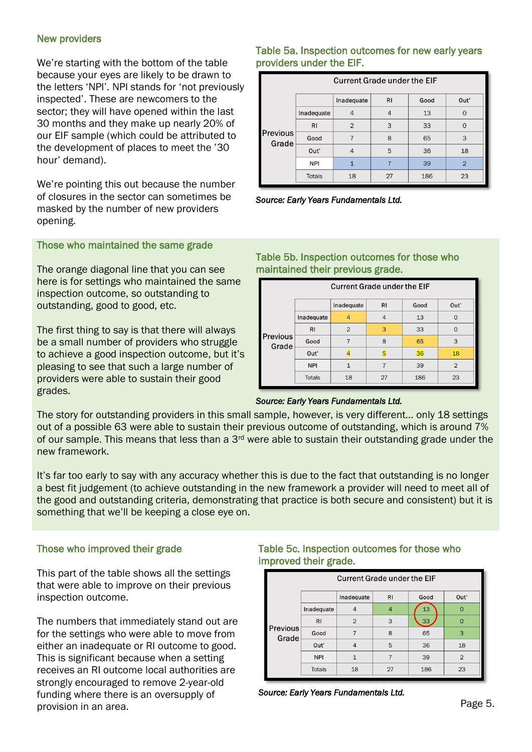#### New providers

We're starting with the bottom of the table because your eyes are likely to be drawn to the letters 'NPI'. NPI stands for 'not previously inspected'. These are newcomers to the sector; they will have opened within the last 30 months and they make up nearly 20% of our EIF sample (which could be attributed to the development of places to meet the '30 hour' demand).

We're pointing this out because the number of closures in the sector can sometimes be masked by the number of new providers opening.

#### Those who maintained the same grade

The orange diagonal line that you can see here is for settings who maintained the same inspection outcome, so outstanding to outstanding, good to good, etc.

The first thing to say is that there will always be a small number of providers who struggle to achieve a good inspection outcome, but it's pleasing to see that such a large number of providers were able to sustain their good grades.

### Table 5a. Inspection outcomes for new early years providers under the EIF.

|                   | <b>Current Grade under the EIF</b> |                |    |      |                |  |  |  |  |
|-------------------|------------------------------------|----------------|----|------|----------------|--|--|--|--|
|                   |                                    | Inadequate     | RI | Good | Out'           |  |  |  |  |
|                   | Inadequate                         | 4              | 4  | 13   | $\Omega$       |  |  |  |  |
|                   | <b>RI</b>                          | $\overline{2}$ | 3  | 33   | $\Omega$       |  |  |  |  |
| Previous<br>Grade | Good                               | 7              | 8  | 65   | 3              |  |  |  |  |
|                   | Out'                               | $\overline{4}$ | 5  | 36   | 18             |  |  |  |  |
|                   | <b>NPI</b>                         | $\mathbf{1}$   |    | 39   | $\overline{2}$ |  |  |  |  |
|                   | <b>Totals</b>                      | 18             | 27 | 186  | 23             |  |  |  |  |

*Source: Early Years Fundamentals Ltd.*

# Table 5b. Inspection outcomes for those who maintained their previous grade.

| <b>Current Grade under the EIF</b> |               |                |                |      |                |  |  |  |
|------------------------------------|---------------|----------------|----------------|------|----------------|--|--|--|
|                                    |               | Inadequate     | R <sub>1</sub> | Good | Out'           |  |  |  |
|                                    | Inadequate    | $\overline{4}$ | 4              | 13   | $\Omega$       |  |  |  |
|                                    | <b>RI</b>     | $\overline{2}$ | 3              | 33   | $\cap$         |  |  |  |
| Previous<br>Grade                  | Good          |                | 8              | 65   | 3              |  |  |  |
|                                    | Out'          |                |                | 36   | 18             |  |  |  |
|                                    | <b>NPI</b>    |                |                | 39   | $\overline{2}$ |  |  |  |
|                                    | <b>Totals</b> | 18             | 27             | 186  | 23             |  |  |  |



The story for outstanding providers in this small sample, however, is very different… only 18 settings out of a possible 63 were able to sustain their previous outcome of outstanding, which is around 7% of our sample. This means that less than a 3<sup>rd</sup> were able to sustain their outstanding grade under the new framework.

It's far too early to say with any accuracy whether this is due to the fact that outstanding is no longer a best fit judgement (to achieve outstanding in the new framework a provider will need to meet all of the good and outstanding criteria, demonstrating that practice is both secure and consistent) but it is something that we'll be keeping a close eye on.

# Those who improved their grade

This part of the table shows all the settings that were able to improve on their previous inspection outcome.

The numbers that immediately stand out are for the settings who were able to move from either an inadequate or RI outcome to good. This is significant because when a setting receives an RI outcome local authorities are strongly encouraged to remove 2-year-old funding where there is an oversupply of provision in an area.

# Table 5c. Inspection outcomes for those who improved their grade.

| <b>Current Grade under the EIF</b> |               |                |                |                 |                |  |  |  |
|------------------------------------|---------------|----------------|----------------|-----------------|----------------|--|--|--|
|                                    |               | Inadequate     | R <sub>1</sub> | Good            | Out'           |  |  |  |
|                                    | Inadequate    | 4              | $\overline{4}$ | 13              | $\overline{0}$ |  |  |  |
|                                    | RI            | $\overline{2}$ | 3              | 33 <sub>3</sub> | $\overline{0}$ |  |  |  |
| Previous<br>Grade                  | Good          |                | 8              | 65              | 3              |  |  |  |
|                                    | Out'          | $\overline{A}$ | 5              | 36              | 18             |  |  |  |
|                                    | <b>NPI</b>    |                |                | 39              | $\overline{2}$ |  |  |  |
|                                    | <b>Totals</b> | 18             | 27             | 186             | 23             |  |  |  |

*Source: Early Years Fundamentals Ltd.*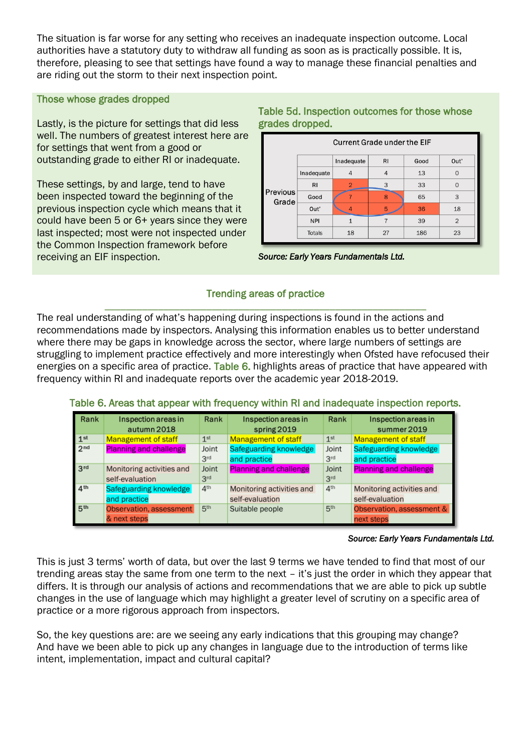The situation is far worse for any setting who receives an inadequate inspection outcome. Local authorities have a statutory duty to withdraw all funding as soon as is practically possible. It is, therefore, pleasing to see that settings have found a way to manage these financial penalties and are riding out the storm to their next inspection point.

#### Those whose grades dropped

Lastly, is the picture for settings that did less well. The numbers of greatest interest here are for settings that went from a good or outstanding grade to either RI or inadequate.

These settings, by and large, tend to have been inspected toward the beginning of the previous inspection cycle which means that it could have been 5 or 6+ years since they were last inspected; most were not inspected under the Common Inspection framework before receiving an EIF inspection.

# Table 5d. Inspection outcomes for those whose grades dropped.





## Trending areas of practice \_\_\_\_\_\_\_\_\_\_\_\_\_\_\_\_\_\_\_\_\_\_\_\_\_\_\_\_\_\_\_\_\_\_\_\_\_\_\_\_\_\_\_\_\_\_\_\_\_\_\_\_\_\_\_\_\_\_\_\_

The real understanding of what's happening during inspections is found in the actions and recommendations made by inspectors. Analysing this information enables us to better understand where there may be gaps in knowledge across the sector, where large numbers of settings are struggling to implement practice effectively and more interestingly when Ofsted have refocused their energies on a specific area of practice. Table 6. highlights areas of practice that have appeared with frequency within RI and inadequate reports over the academic year 2018-2019.

# Table 6. Areas that appear with frequency within RI and inadequate inspection reports.

| Rank            | Inspection areas in<br>autumn 2018 | Rank            | Inspection areas in<br>spring 2019 | Rank            | Inspection areas in<br>summer 2019 |
|-----------------|------------------------------------|-----------------|------------------------------------|-----------------|------------------------------------|
| 1 <sup>st</sup> | <b>Management of staff</b>         | 1 <sup>st</sup> | <b>Management of staff</b>         | 1 <sup>st</sup> | <b>Management of staff</b>         |
| 2 <sub>nd</sub> | <b>Planning and challenge</b>      | Joint           | Safeguarding knowledge             | Joint           | Safeguarding knowledge             |
|                 |                                    | 3 <sup>rd</sup> | and practice                       | 3 <sup>rd</sup> | and practice                       |
| 3 <sup>rd</sup> | Monitoring activities and          | Joint           | <b>Planning and challenge</b>      | Joint           | <b>Planning and challenge</b>      |
|                 | self-evaluation                    | 3 <sup>rd</sup> |                                    | 3 <sup>rd</sup> |                                    |
| 4 <sup>th</sup> | Safeguarding knowledge             | 4 <sup>th</sup> | Monitoring activities and          | 4 <sup>th</sup> | Monitoring activities and          |
|                 | and practice                       |                 | self-evaluation                    |                 | self-evaluation                    |
| 5 <sup>th</sup> | Observation, assessment            | 5 <sup>th</sup> | Suitable people                    | 5 <sup>th</sup> | Observation, assessment &          |
|                 | & next steps                       |                 |                                    |                 | next steps                         |

#### *Source: Early Years Fundamentals Ltd.*

This is just 3 terms' worth of data, but over the last 9 terms we have tended to find that most of our trending areas stay the same from one term to the next – it's just the order in which they appear that differs. It is through our analysis of actions and recommendations that we are able to pick up subtle changes in the use of language which may highlight a greater level of scrutiny on a specific area of practice or a more rigorous approach from inspectors.

So, the key questions are: are we seeing any early indications that this grouping may change? And have we been able to pick up any changes in language due to the introduction of terms like intent, implementation, impact and cultural capital?